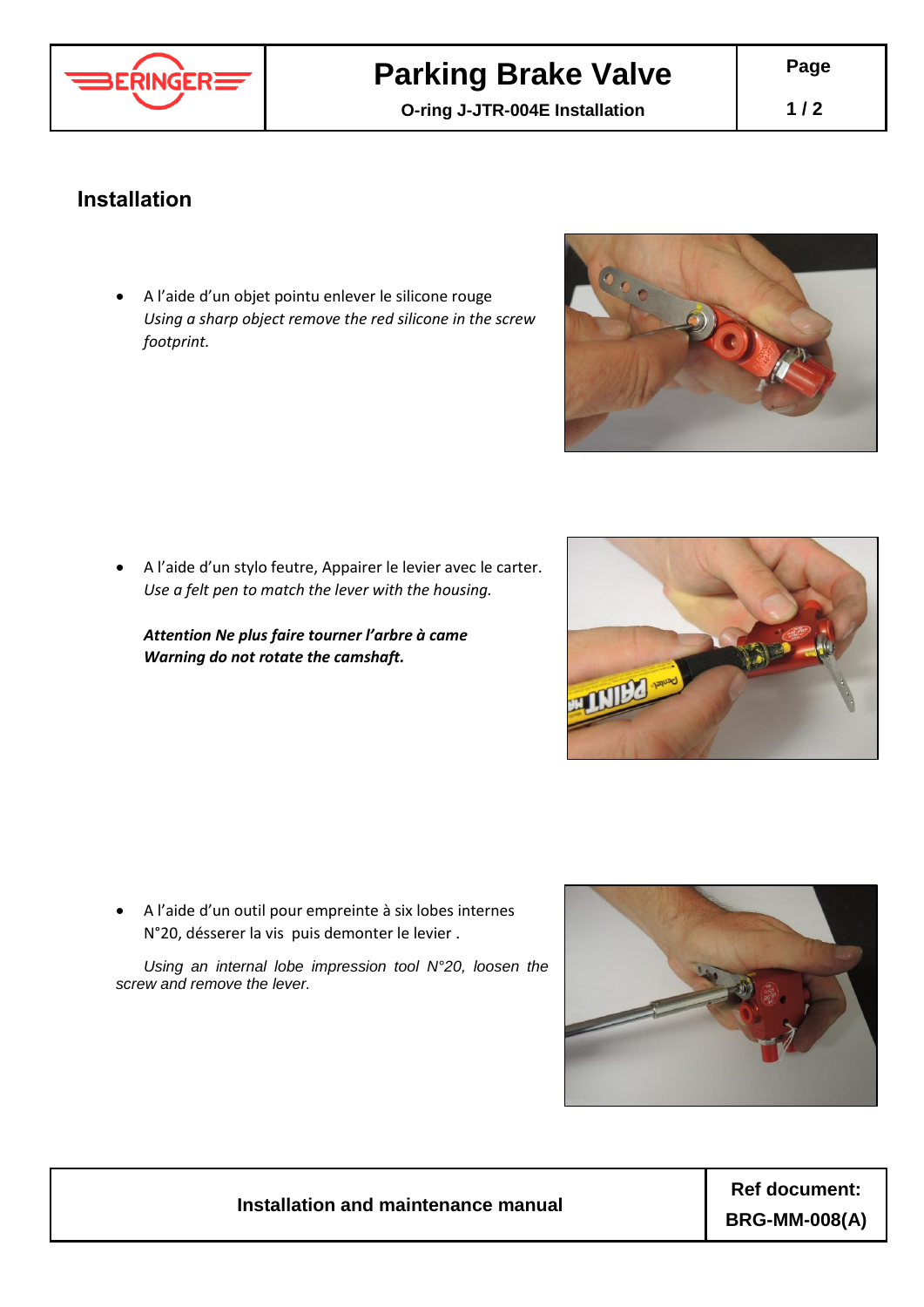

## **Parking Brake Valve**

**O-ring J-JTR-004E Installation**

## **Installation**

 A l'aide d'un objet pointu enlever le silicone rouge *Using a sharp object remove the red silicone in the screw footprint.*



 A l'aide d'un stylo feutre, Appairer le levier avec le carter. *Use a felt pen to match the lever with the housing.*

*Attention Ne plus faire tourner l'arbre à came Warning do not rotate the camshaft.*

 A l'aide d'un outil pour empreinte à six lobes internes N°20, désserer la vis puis demonter le levier .

*Using an internal lobe impression tool N°20, loosen the screw and remove the lever.*



## **Installation and maintenance manual**

**Ref document: BRG-MM-008(A)**